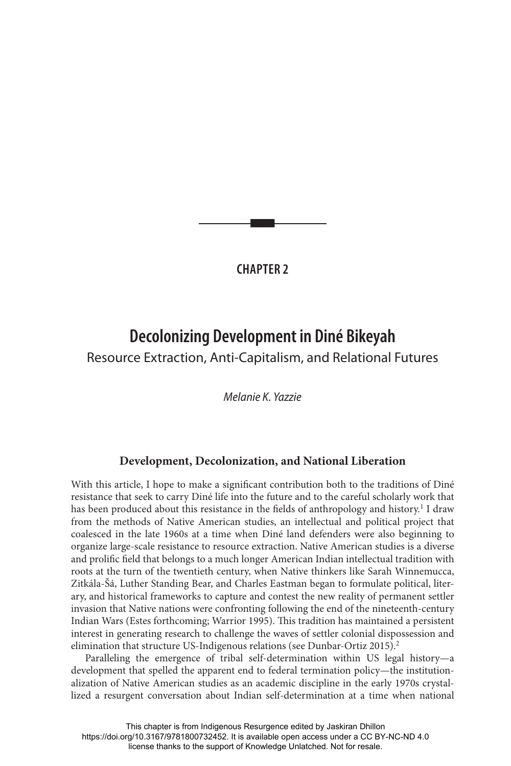

# **CHAPTER 2**

# **Decolonizing Development in Diné Bikeyah**

Resource Extraction, Anti-Capitalism, and Relational Futures

## *Melanie K. Yazzie*

## **Development, Decolonization, and National Liberation**

With this article, I hope to make a significant contribution both to the traditions of Diné resistance that seek to carry Diné life into the future and to the careful scholarly work that has been produced about this resistance in the fields of anthropology and history.<sup>1</sup> I draw from the methods of Native American studies, an intellectual and political project that coalesced in the late 1960s at a time when Diné land defenders were also beginning to organize large-scale resistance to resource extraction. Native American studies is a diverse and prolific field that belongs to a much longer American Indian intellectual tradition with roots at the turn of the twentieth century, when Native thinkers like Sarah Winnemucca, Zitkála-Šá, Luther Standing Bear, and Charles Eastman began to formulate political, literary, and historical frameworks to capture and contest the new reality of permanent settler invasion that Native nations were confronting following the end of the nineteenth-century Indian Wars (Estes forthcoming; Warrior 1995). This tradition has maintained a persistent interest in generating research to challenge the waves of settler colonial dispossession and elimination that structure US-Indigenous relations (see Dunbar-Ortiz 2015).<sup>2</sup>

Paralleling the emergence of tribal self-determination within US legal history—a development that spelled the apparent end to federal termination policy—the institutionalization of Native American studies as an academic discipline in the early 1970s crystallized a resurgent conversation about Indian self-determination at a time when national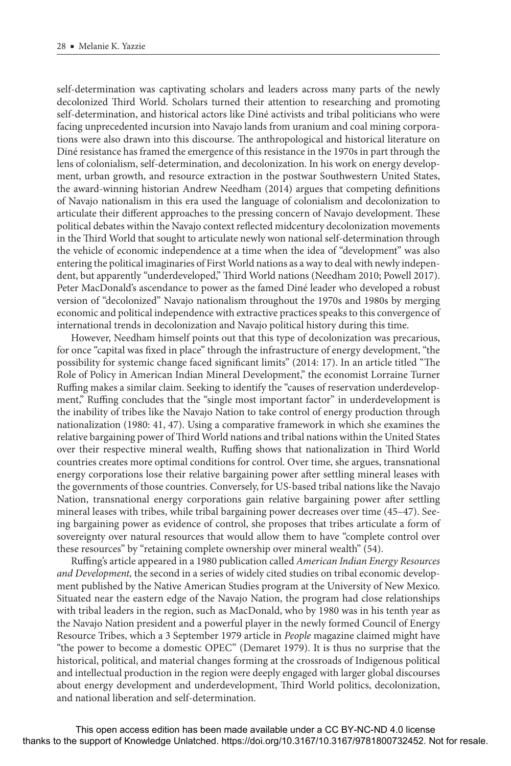self-determination was captivating scholars and leaders across many parts of the newly decolonized Third World. Scholars turned their attention to researching and promoting self-determination, and historical actors like Diné activists and tribal politicians who were facing unprecedented incursion into Navajo lands from uranium and coal mining corporations were also drawn into this discourse. The anthropological and historical literature on Diné resistance has framed the emergence of this resistance in the 1970s in part through the lens of colonialism, self-determination, and decolonization. In his work on energy development, urban growth, and resource extraction in the postwar Southwestern United States, the award-winning historian Andrew Needham (2014) argues that competing definitions of Navajo nationalism in this era used the language of colonialism and decolonization to articulate their different approaches to the pressing concern of Navajo development. These political debates within the Navajo context reflected midcentury decolonization movements in the Third World that sought to articulate newly won national self-determination through the vehicle of economic independence at a time when the idea of "development" was also entering the political imaginaries of First World nations as a way to deal with newly independent, but apparently "underdeveloped," Third World nations (Needham 2010; Powell 2017). Peter MacDonald's ascendance to power as the famed Diné leader who developed a robust version of "decolonized" Navajo nationalism throughout the 1970s and 1980s by merging economic and political independence with extractive practices speaks to this convergence of international trends in decolonization and Navajo political history during this time.

However, Needham himself points out that this type of decolonization was precarious, for once "capital was fixed in place" through the infrastructure of energy development, "the possibility for systemic change faced significant limits" (2014: 17). In an article titled "The Role of Policy in American Indian Mineral Development," the economist Lorraine Turner Ruffing makes a similar claim. Seeking to identify the "causes of reservation underdevelopment," Ruffing concludes that the "single most important factor" in underdevelopment is the inability of tribes like the Navajo Nation to take control of energy production through nationalization (1980: 41, 47). Using a comparative framework in which she examines the relative bargaining power of Third World nations and tribal nations within the United States over their respective mineral wealth, Ruffing shows that nationalization in Third World countries creates more optimal conditions for control. Over time, she argues, transnational energy corporations lose their relative bargaining power after settling mineral leases with the governments of those countries. Conversely, for US-based tribal nations like the Navajo Nation, transnational energy corporations gain relative bargaining power after settling mineral leases with tribes, while tribal bargaining power decreases over time (45–47). Seeing bargaining power as evidence of control, she proposes that tribes articulate a form of sovereignty over natural resources that would allow them to have "complete control over these resources" by "retaining complete ownership over mineral wealth" (54).

Ruffing's article appeared in a 1980 publication called *American Indian Energy Resources and Development,* the second in a series of widely cited studies on tribal economic development published by the Native American Studies program at the University of New Mexico. Situated near the eastern edge of the Navajo Nation, the program had close relationships with tribal leaders in the region, such as MacDonald, who by 1980 was in his tenth year as the Navajo Nation president and a powerful player in the newly formed Council of Energy Resource Tribes, which a 3 September 1979 article in *People* magazine claimed might have "the power to become a domestic OPEC" (Demaret 1979). It is thus no surprise that the historical, political, and material changes forming at the crossroads of Indigenous political and intellectual production in the region were deeply engaged with larger global discourses about energy development and underdevelopment, Third World politics, decolonization, and national liberation and self-determination.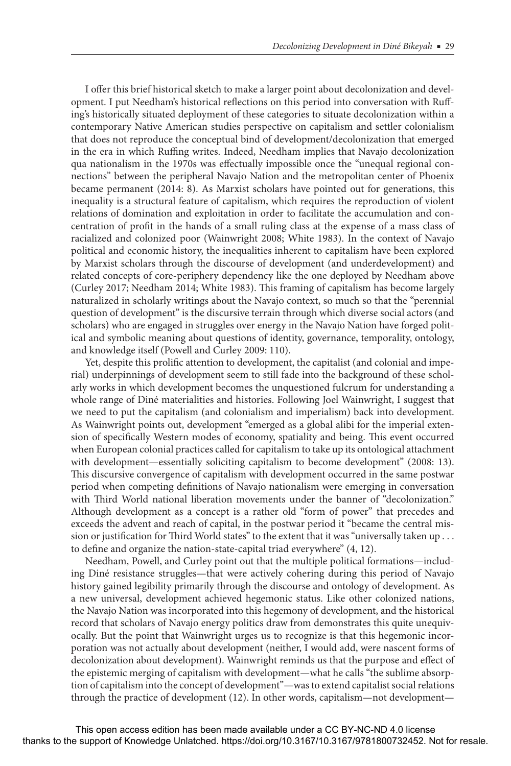I offer this brief historical sketch to make a larger point about decolonization and development. I put Needham's historical reflections on this period into conversation with Ruffing's historically situated deployment of these categories to situate decolonization within a contemporary Native American studies perspective on capitalism and settler colonialism that does not reproduce the conceptual bind of development/decolonization that emerged in the era in which Ruffing writes. Indeed, Needham implies that Navajo decolonization qua nationalism in the 1970s was effectually impossible once the "unequal regional connections" between the peripheral Navajo Nation and the metropolitan center of Phoenix became permanent (2014: 8). As Marxist scholars have pointed out for generations, this inequality is a structural feature of capitalism, which requires the reproduction of violent relations of domination and exploitation in order to facilitate the accumulation and concentration of profit in the hands of a small ruling class at the expense of a mass class of racialized and colonized poor (Wainwright 2008; White 1983). In the context of Navajo political and economic history, the inequalities inherent to capitalism have been explored by Marxist scholars through the discourse of development (and underdevelopment) and related concepts of core-periphery dependency like the one deployed by Needham above (Curley 2017; Needham 2014; White 1983). This framing of capitalism has become largely naturalized in scholarly writings about the Navajo context, so much so that the "perennial question of development" is the discursive terrain through which diverse social actors (and scholars) who are engaged in struggles over energy in the Navajo Nation have forged political and symbolic meaning about questions of identity, governance, temporality, ontology, and knowledge itself (Powell and Curley 2009: 110).

Yet, despite this prolific attention to development, the capitalist (and colonial and imperial) underpinnings of development seem to still fade into the background of these scholarly works in which development becomes the unquestioned fulcrum for understanding a whole range of Diné materialities and histories. Following Joel Wainwright, I suggest that we need to put the capitalism (and colonialism and imperialism) back into development. As Wainwright points out, development "emerged as a global alibi for the imperial extension of specifically Western modes of economy, spatiality and being. This event occurred when European colonial practices called for capitalism to take up its ontological attachment with development—essentially soliciting capitalism to become development" (2008: 13). This discursive convergence of capitalism with development occurred in the same postwar period when competing definitions of Navajo nationalism were emerging in conversation with Third World national liberation movements under the banner of "decolonization." Although development as a concept is a rather old "form of power" that precedes and exceeds the advent and reach of capital, in the postwar period it "became the central mission or justification for Third World states" to the extent that it was "universally taken up . . . to define and organize the nation-state-capital triad everywhere" (4, 12).

Needham, Powell, and Curley point out that the multiple political formations—including Diné resistance struggles—that were actively cohering during this period of Navajo history gained legibility primarily through the discourse and ontology of development. As a new universal, development achieved hegemonic status. Like other colonized nations, the Navajo Nation was incorporated into this hegemony of development, and the historical record that scholars of Navajo energy politics draw from demonstrates this quite unequivocally. But the point that Wainwright urges us to recognize is that this hegemonic incorporation was not actually about development (neither, I would add, were nascent forms of decolonization about development). Wainwright reminds us that the purpose and effect of the epistemic merging of capitalism with development—what he calls "the sublime absorption of capitalism into the concept of development"—was to extend capitalist social relations through the practice of development (12). In other words, capitalism—not development—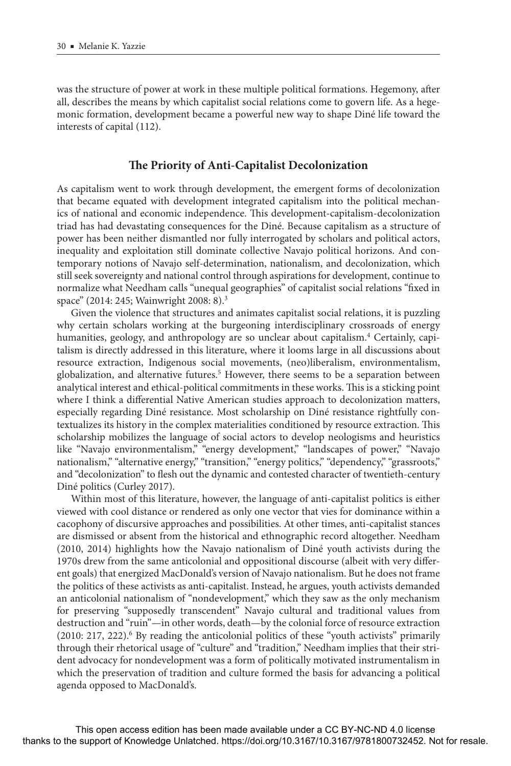was the structure of power at work in these multiple political formations. Hegemony, after all, describes the means by which capitalist social relations come to govern life. As a hegemonic formation, development became a powerful new way to shape Diné life toward the interests of capital (112).

#### **The Priority of Anti-Capitalist Decolonization**

As capitalism went to work through development, the emergent forms of decolonization that became equated with development integrated capitalism into the political mechanics of national and economic independence. This development-capitalism-decolonization triad has had devastating consequences for the Diné. Because capitalism as a structure of power has been neither dismantled nor fully interrogated by scholars and political actors, inequality and exploitation still dominate collective Navajo political horizons. And contemporary notions of Navajo self-determination, nationalism, and decolonization, which still seek sovereignty and national control through aspirations for development, continue to normalize what Needham calls "unequal geographies" of capitalist social relations "fixed in space" (2014: 245; Wainwright 2008: 8).3

Given the violence that structures and animates capitalist social relations, it is puzzling why certain scholars working at the burgeoning interdisciplinary crossroads of energy humanities, geology, and anthropology are so unclear about capitalism.4 Certainly, capitalism is directly addressed in this literature, where it looms large in all discussions about resource extraction, Indigenous social movements, (neo)liberalism, environmentalism, globalization, and alternative futures.<sup>5</sup> However, there seems to be a separation between analytical interest and ethical-political commitments in these works. This is a sticking point where I think a differential Native American studies approach to decolonization matters, especially regarding Diné resistance. Most scholarship on Diné resistance rightfully contextualizes its history in the complex materialities conditioned by resource extraction. This scholarship mobilizes the language of social actors to develop neologisms and heuristics like "Navajo environmentalism," "energy development," "landscapes of power," "Navajo nationalism," "alternative energy," "transition," "energy politics," "dependency," "grassroots," and "decolonization" to flesh out the dynamic and contested character of twentieth-century Diné politics (Curley 2017).

Within most of this literature, however, the language of anti-capitalist politics is either viewed with cool distance or rendered as only one vector that vies for dominance within a cacophony of discursive approaches and possibilities. At other times, anti-capitalist stances are dismissed or absent from the historical and ethnographic record altogether. Needham (2010, 2014) highlights how the Navajo nationalism of Diné youth activists during the 1970s drew from the same anticolonial and oppositional discourse (albeit with very different goals) that energized MacDonald's version of Navajo nationalism. But he does not frame the politics of these activists as anti-capitalist. Instead, he argues, youth activists demanded an anticolonial nationalism of "nondevelopment," which they saw as the only mechanism for preserving "supposedly transcendent" Navajo cultural and traditional values from destruction and "ruin"—in other words, death—by the colonial force of resource extraction (2010: 217, 222).<sup>6</sup> By reading the anticolonial politics of these "youth activists" primarily through their rhetorical usage of "culture" and "tradition," Needham implies that their strident advocacy for nondevelopment was a form of politically motivated instrumentalism in which the preservation of tradition and culture formed the basis for advancing a political agenda opposed to MacDonald's.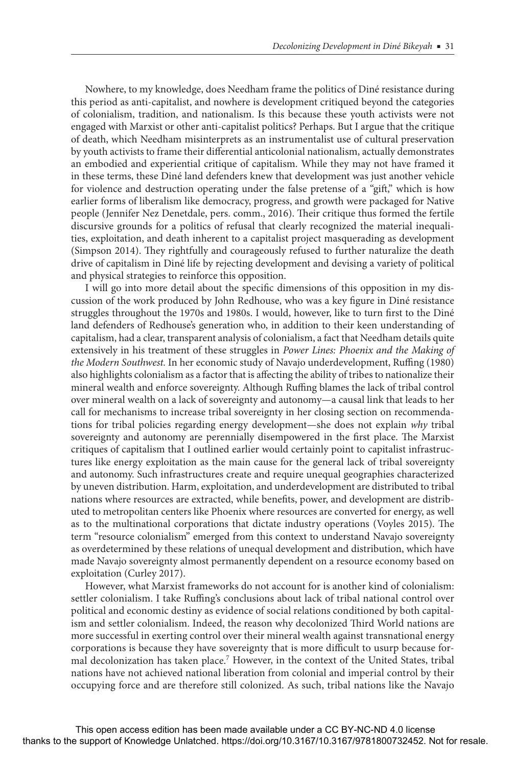Nowhere, to my knowledge, does Needham frame the politics of Diné resistance during this period as anti-capitalist, and nowhere is development critiqued beyond the categories of colonialism, tradition, and nationalism. Is this because these youth activists were not engaged with Marxist or other anti-capitalist politics? Perhaps. But I argue that the critique of death, which Needham misinterprets as an instrumentalist use of cultural preservation by youth activists to frame their differential anticolonial nationalism, actually demonstrates an embodied and experiential critique of capitalism. While they may not have framed it in these terms, these Diné land defenders knew that development was just another vehicle for violence and destruction operating under the false pretense of a "gift," which is how earlier forms of liberalism like democracy, progress, and growth were packaged for Native people (Jennifer Nez Denetdale, pers. comm., 2016). Their critique thus formed the fertile discursive grounds for a politics of refusal that clearly recognized the material inequalities, exploitation, and death inherent to a capitalist project masquerading as development (Simpson 2014). They rightfully and courageously refused to further naturalize the death drive of capitalism in Diné life by rejecting development and devising a variety of political and physical strategies to reinforce this opposition.

I will go into more detail about the specific dimensions of this opposition in my discussion of the work produced by John Redhouse, who was a key figure in Diné resistance struggles throughout the 1970s and 1980s. I would, however, like to turn first to the Diné land defenders of Redhouse's generation who, in addition to their keen understanding of capitalism, had a clear, transparent analysis of colonialism, a fact that Needham details quite extensively in his treatment of these struggles in *Power Lines: Phoenix and the Making of the Modern Southwest.* In her economic study of Navajo underdevelopment, Ruffing (1980) also highlights colonialism as a factor that is affecting the ability of tribes to nationalize their mineral wealth and enforce sovereignty. Although Ruffing blames the lack of tribal control over mineral wealth on a lack of sovereignty and autonomy—a causal link that leads to her call for mechanisms to increase tribal sovereignty in her closing section on recommendations for tribal policies regarding energy development—she does not explain *why* tribal sovereignty and autonomy are perennially disempowered in the first place. The Marxist critiques of capitalism that I outlined earlier would certainly point to capitalist infrastructures like energy exploitation as the main cause for the general lack of tribal sovereignty and autonomy. Such infrastructures create and require unequal geographies characterized by uneven distribution. Harm, exploitation, and underdevelopment are distributed to tribal nations where resources are extracted, while benefits, power, and development are distributed to metropolitan centers like Phoenix where resources are converted for energy, as well as to the multinational corporations that dictate industry operations (Voyles 2015). The term "resource colonialism" emerged from this context to understand Navajo sovereignty as overdetermined by these relations of unequal development and distribution, which have made Navajo sovereignty almost permanently dependent on a resource economy based on exploitation (Curley 2017).

However, what Marxist frameworks do not account for is another kind of colonialism: settler colonialism. I take Ruffing's conclusions about lack of tribal national control over political and economic destiny as evidence of social relations conditioned by both capitalism and settler colonialism. Indeed, the reason why decolonized Third World nations are more successful in exerting control over their mineral wealth against transnational energy corporations is because they have sovereignty that is more difficult to usurp because formal decolonization has taken place.<sup>7</sup> However, in the context of the United States, tribal nations have not achieved national liberation from colonial and imperial control by their occupying force and are therefore still colonized. As such, tribal nations like the Navajo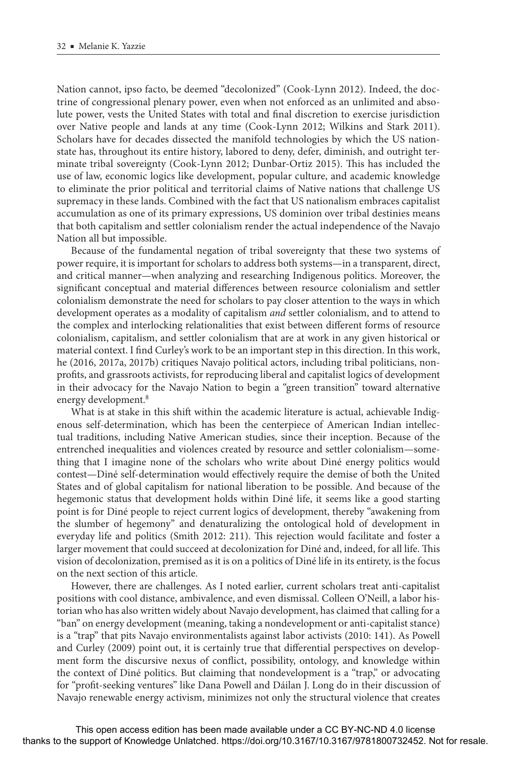Nation cannot, ipso facto, be deemed "decolonized" (Cook-Lynn 2012). Indeed, the doctrine of congressional plenary power, even when not enforced as an unlimited and absolute power, vests the United States with total and final discretion to exercise jurisdiction over Native people and lands at any time (Cook-Lynn 2012; Wilkins and Stark 2011). Scholars have for decades dissected the manifold technologies by which the US nationstate has, throughout its entire history, labored to deny, defer, diminish, and outright terminate tribal sovereignty (Cook-Lynn 2012; Dunbar-Ortiz 2015). This has included the use of law, economic logics like development, popular culture, and academic knowledge to eliminate the prior political and territorial claims of Native nations that challenge US supremacy in these lands. Combined with the fact that US nationalism embraces capitalist accumulation as one of its primary expressions, US dominion over tribal destinies means that both capitalism and settler colonialism render the actual independence of the Navajo Nation all but impossible.

Because of the fundamental negation of tribal sovereignty that these two systems of power require, it is important for scholars to address both systems—in a transparent, direct, and critical manner—when analyzing and researching Indigenous politics. Moreover, the significant conceptual and material differences between resource colonialism and settler colonialism demonstrate the need for scholars to pay closer attention to the ways in which development operates as a modality of capitalism *and* settler colonialism, and to attend to the complex and interlocking relationalities that exist between different forms of resource colonialism, capitalism, and settler colonialism that are at work in any given historical or material context. I find Curley's work to be an important step in this direction. In this work, he (2016, 2017a, 2017b) critiques Navajo political actors, including tribal politicians, nonprofits, and grassroots activists, for reproducing liberal and capitalist logics of development in their advocacy for the Navajo Nation to begin a "green transition" toward alternative energy development.8

What is at stake in this shift within the academic literature is actual, achievable Indigenous self-determination, which has been the centerpiece of American Indian intellectual traditions, including Native American studies, since their inception. Because of the entrenched inequalities and violences created by resource and settler colonialism—something that I imagine none of the scholars who write about Diné energy politics would contest—Diné self-determination would effectively require the demise of both the United States and of global capitalism for national liberation to be possible. And because of the hegemonic status that development holds within Diné life, it seems like a good starting point is for Diné people to reject current logics of development, thereby "awakening from the slumber of hegemony" and denaturalizing the ontological hold of development in everyday life and politics (Smith 2012: 211). This rejection would facilitate and foster a larger movement that could succeed at decolonization for Diné and, indeed, for all life. This vision of decolonization, premised as it is on a politics of Diné life in its entirety, is the focus on the next section of this article.

However, there are challenges. As I noted earlier, current scholars treat anti-capitalist positions with cool distance, ambivalence, and even dismissal. Colleen O'Neill, a labor historian who has also written widely about Navajo development, has claimed that calling for a "ban" on energy development (meaning, taking a nondevelopment or anti-capitalist stance) is a "trap" that pits Navajo environmentalists against labor activists (2010: 141). As Powell and Curley (2009) point out, it is certainly true that differential perspectives on development form the discursive nexus of conflict, possibility, ontology, and knowledge within the context of Diné politics. But claiming that nondevelopment is a "trap," or advocating for "profit-seeking ventures" like Dana Powell and Dáilan J. Long do in their discussion of Navajo renewable energy activism, minimizes not only the structural violence that creates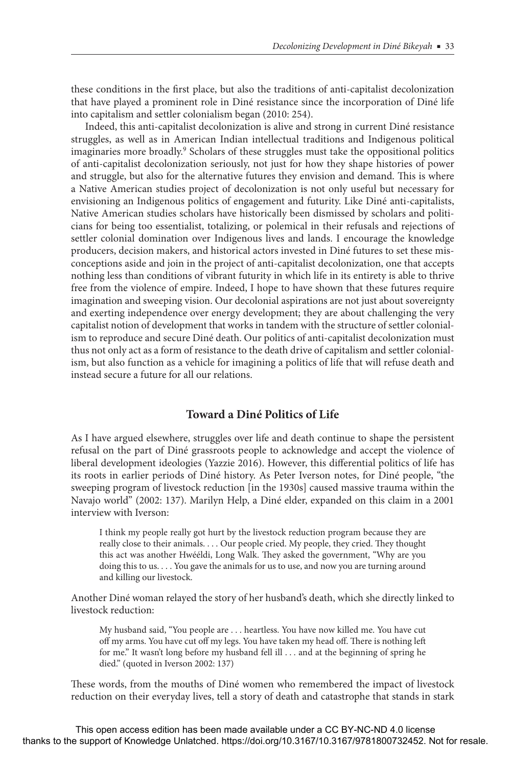these conditions in the first place, but also the traditions of anti-capitalist decolonization that have played a prominent role in Diné resistance since the incorporation of Diné life into capitalism and settler colonialism began (2010: 254).

Indeed, this anti-capitalist decolonization is alive and strong in current Diné resistance struggles, as well as in American Indian intellectual traditions and Indigenous political imaginaries more broadly.<sup>9</sup> Scholars of these struggles must take the oppositional politics of anti-capitalist decolonization seriously, not just for how they shape histories of power and struggle, but also for the alternative futures they envision and demand. This is where a Native American studies project of decolonization is not only useful but necessary for envisioning an Indigenous politics of engagement and futurity. Like Diné anti-capitalists, Native American studies scholars have historically been dismissed by scholars and politicians for being too essentialist, totalizing, or polemical in their refusals and rejections of settler colonial domination over Indigenous lives and lands. I encourage the knowledge producers, decision makers, and historical actors invested in Diné futures to set these misconceptions aside and join in the project of anti-capitalist decolonization, one that accepts nothing less than conditions of vibrant futurity in which life in its entirety is able to thrive free from the violence of empire. Indeed, I hope to have shown that these futures require imagination and sweeping vision. Our decolonial aspirations are not just about sovereignty and exerting independence over energy development; they are about challenging the very capitalist notion of development that works in tandem with the structure of settler colonialism to reproduce and secure Diné death. Our politics of anti-capitalist decolonization must thus not only act as a form of resistance to the death drive of capitalism and settler colonialism, but also function as a vehicle for imagining a politics of life that will refuse death and instead secure a future for all our relations.

## **Toward a Diné Politics of Life**

As I have argued elsewhere, struggles over life and death continue to shape the persistent refusal on the part of Diné grassroots people to acknowledge and accept the violence of liberal development ideologies (Yazzie 2016). However, this differential politics of life has its roots in earlier periods of Diné history. As Peter Iverson notes, for Diné people, "the sweeping program of livestock reduction [in the 1930s] caused massive trauma within the Navajo world" (2002: 137). Marilyn Help, a Diné elder, expanded on this claim in a 2001 interview with Iverson:

I think my people really got hurt by the livestock reduction program because they are really close to their animals. . . . Our people cried. My people, they cried. They thought this act was another Hwééldi, Long Walk. They asked the government, "Why are you doing this to us.  $\dots$  You gave the animals for us to use, and now you are turning around and killing our livestock.

Another Diné woman relayed the story of her husband's death, which she directly linked to livestock reduction:

My husband said, "You people are . . . heartless. You have now killed me. You have cut off my arms. You have cut off my legs. You have taken my head off. There is nothing left for me." It wasn't long before my husband fell ill . . . and at the beginning of spring he died." (quoted in Iverson 2002: 137)

These words, from the mouths of Diné women who remembered the impact of livestock reduction on their everyday lives, tell a story of death and catastrophe that stands in stark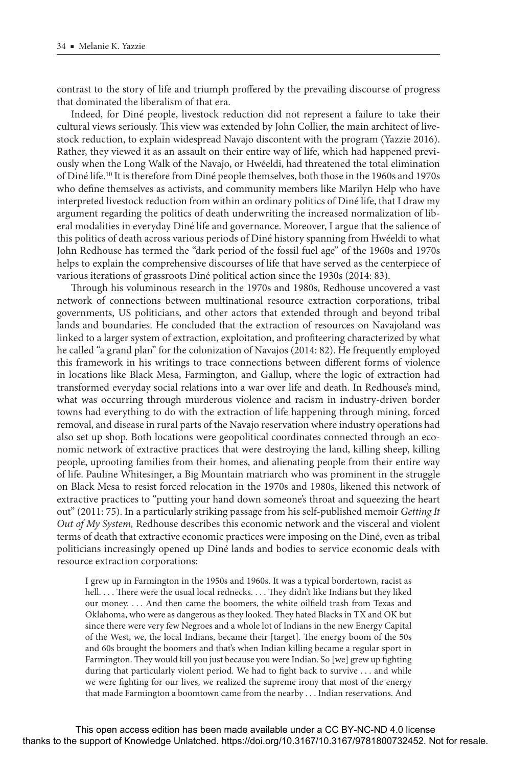contrast to the story of life and triumph proffered by the prevailing discourse of progress that dominated the liberalism of that era.

Indeed, for Diné people, livestock reduction did not represent a failure to take their cultural views seriously. This view was extended by John Collier, the main architect of livestock reduction, to explain widespread Navajo discontent with the program (Yazzie 2016). Rather, they viewed it as an assault on their entire way of life, which had happened previously when the Long Walk of the Navajo, or Hwéeldi, had threatened the total elimination of Diné life.10 It is therefore from Diné people themselves, both those in the 1960s and 1970s who define themselves as activists, and community members like Marilyn Help who have interpreted livestock reduction from within an ordinary politics of Diné life, that I draw my argument regarding the politics of death underwriting the increased normalization of liberal modalities in everyday Diné life and governance. Moreover, I argue that the salience of this politics of death across various periods of Diné history spanning from Hwéeldi to what John Redhouse has termed the "dark period of the fossil fuel age" of the 1960s and 1970s helps to explain the comprehensive discourses of life that have served as the centerpiece of various iterations of grassroots Diné political action since the 1930s (2014: 83).

Through his voluminous research in the 1970s and 1980s, Redhouse uncovered a vast network of connections between multinational resource extraction corporations, tribal governments, US politicians, and other actors that extended through and beyond tribal lands and boundaries. He concluded that the extraction of resources on Navajoland was linked to a larger system of extraction, exploitation, and profiteering characterized by what he called "a grand plan" for the colonization of Navajos (2014: 82). He frequently employed this framework in his writings to trace connections between different forms of violence in locations like Black Mesa, Farmington, and Gallup, where the logic of extraction had transformed everyday social relations into a war over life and death. In Redhouse's mind, what was occurring through murderous violence and racism in industry-driven border towns had everything to do with the extraction of life happening through mining, forced removal, and disease in rural parts of the Navajo reservation where industry operations had also set up shop. Both locations were geopolitical coordinates connected through an economic network of extractive practices that were destroying the land, killing sheep, killing people, uprooting families from their homes, and alienating people from their entire way of life. Pauline Whitesinger, a Big Mountain matriarch who was prominent in the struggle on Black Mesa to resist forced relocation in the 1970s and 1980s, likened this network of extractive practices to "putting your hand down someone's throat and squeezing the heart out" (2011: 75). In a particularly striking passage from his self-published memoir *Getting It Out of My System,* Redhouse describes this economic network and the visceral and violent terms of death that extractive economic practices were imposing on the Diné, even as tribal politicians increasingly opened up Diné lands and bodies to service economic deals with resource extraction corporations:

I grew up in Farmington in the 1950s and 1960s. It was a typical bordertown, racist as hell. . . . There were the usual local rednecks. . . . They didn't like Indians but they liked our money. . . . And then came the boomers, the white oilfield trash from Texas and Oklahoma, who were as dangerous as they looked. They hated Blacks in TX and OK but since there were very few Negroes and a whole lot of Indians in the new Energy Capital of the West, we, the local Indians, became their [target]. The energy boom of the 50s and 60s brought the boomers and that's when Indian killing became a regular sport in Farmington. They would kill you just because you were Indian. So [we] grew up fighting during that particularly violent period. We had to fight back to survive . . . and while we were fighting for our lives, we realized the supreme irony that most of the energy that made Farmington a boomtown came from the nearby . . . Indian reservations. And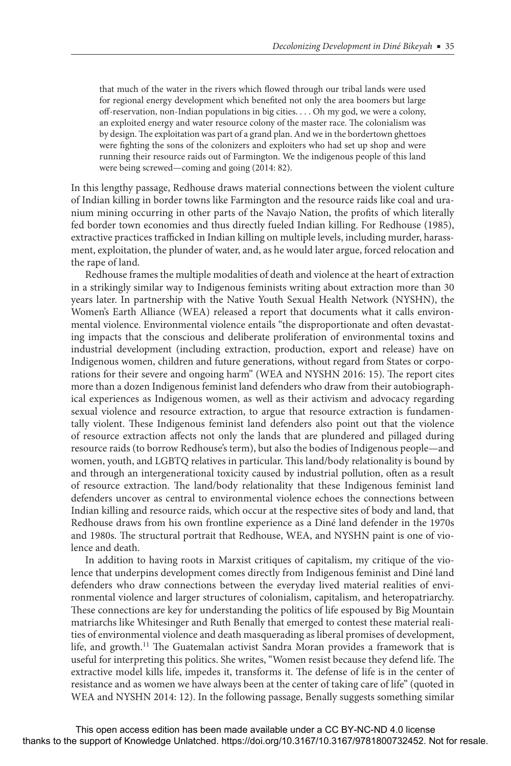that much of the water in the rivers which flowed through our tribal lands were used for regional energy development which benefited not only the area boomers but large off-reservation, non-Indian populations in big cities. . . . Oh my god, we were a colony, an exploited energy and water resource colony of the master race. The colonialism was by design. The exploitation was part of a grand plan. And we in the bordertown ghettoes were fighting the sons of the colonizers and exploiters who had set up shop and were running their resource raids out of Farmington. We the indigenous people of this land were being screwed—coming and going (2014: 82).

In this lengthy passage, Redhouse draws material connections between the violent culture of Indian killing in border towns like Farmington and the resource raids like coal and uranium mining occurring in other parts of the Navajo Nation, the profits of which literally fed border town economies and thus directly fueled Indian killing. For Redhouse (1985), extractive practices trafficked in Indian killing on multiple levels, including murder, harassment, exploitation, the plunder of water, and, as he would later argue, forced relocation and the rape of land.

Redhouse frames the multiple modalities of death and violence at the heart of extraction in a strikingly similar way to Indigenous feminists writing about extraction more than 30 years later. In partnership with the Native Youth Sexual Health Network (NYSHN), the Women's Earth Alliance (WEA) released a report that documents what it calls environmental violence. Environmental violence entails "the disproportionate and often devastating impacts that the conscious and deliberate proliferation of environmental toxins and industrial development (including extraction, production, export and release) have on Indigenous women, children and future generations, without regard from States or corporations for their severe and ongoing harm" (WEA and NYSHN 2016: 15). The report cites more than a dozen Indigenous feminist land defenders who draw from their autobiographical experiences as Indigenous women, as well as their activism and advocacy regarding sexual violence and resource extraction, to argue that resource extraction is fundamentally violent. These Indigenous feminist land defenders also point out that the violence of resource extraction affects not only the lands that are plundered and pillaged during resource raids (to borrow Redhouse's term), but also the bodies of Indigenous people—and women, youth, and LGBTQ relatives in particular. This land/body relationality is bound by and through an intergenerational toxicity caused by industrial pollution, often as a result of resource extraction. The land/body relationality that these Indigenous feminist land defenders uncover as central to environmental violence echoes the connections between Indian killing and resource raids, which occur at the respective sites of body and land, that Redhouse draws from his own frontline experience as a Diné land defender in the 1970s and 1980s. The structural portrait that Redhouse, WEA, and NYSHN paint is one of violence and death.

In addition to having roots in Marxist critiques of capitalism, my critique of the violence that underpins development comes directly from Indigenous feminist and Diné land defenders who draw connections between the everyday lived material realities of environmental violence and larger structures of colonialism, capitalism, and heteropatriarchy. These connections are key for understanding the politics of life espoused by Big Mountain matriarchs like Whitesinger and Ruth Benally that emerged to contest these material realities of environmental violence and death masquerading as liberal promises of development, life, and growth.<sup>11</sup> The Guatemalan activist Sandra Moran provides a framework that is useful for interpreting this politics. She writes, "Women resist because they defend life. The extractive model kills life, impedes it, transforms it. The defense of life is in the center of resistance and as women we have always been at the center of taking care of life" (quoted in WEA and NYSHN 2014: 12). In the following passage, Benally suggests something similar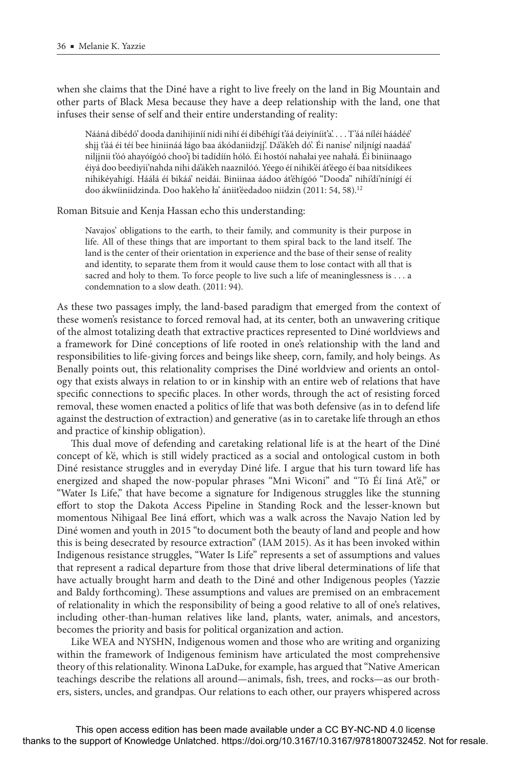when she claims that the Diné have a right to live freely on the land in Big Mountain and other parts of Black Mesa because they have a deep relationship with the land, one that infuses their sense of self and their entire understanding of reality:

Nááná dibédó' dooda danihijiníí nidi nihí éí dibéhígí ťáá deiyíníiťa'.... T'áá níléí háádéé' shįį t'áá éi téí bee hiniináá łágo baa ákódaniidzįį'. Dá'ák'eh dó'. Éi nanise' nilįnígí naadáá' nilįįnii t'óó ahayóígóó choo'į bi tadídíín hóló. Éi hostóí nahałai yee nahałá. Éi biniinaago éiyá doo beediyii'nahda nihi dá'ák'eh naaznilóó. Yéego éí nihik'éí át'éego éí baa nitsídikees nihikéyahígí. Háálá éí bikáá' neidái. Biniinaa áádoo át'éhígóó "Dooda" nihi'di'nínígí éí doo ákwíiniidzinda. Doo hak'eho ła' ániit'éedadoo niidzin (2011: 54, 58).12

Roman Bitsuie and Kenja Hassan echo this understanding:

Navajos' obligations to the earth, to their family, and community is their purpose in life. All of these things that are important to them spiral back to the land itself. The land is the center of their orientation in experience and the base of their sense of reality and identity, to separate them from it would cause them to lose contact with all that is sacred and holy to them. To force people to live such a life of meaninglessness is . . . a condemnation to a slow death. (2011: 94).

As these two passages imply, the land-based paradigm that emerged from the context of these women's resistance to forced removal had, at its center, both an unwavering critique of the almost totalizing death that extractive practices represented to Diné worldviews and a framework for Diné conceptions of life rooted in one's relationship with the land and responsibilities to life-giving forces and beings like sheep, corn, family, and holy beings. As Benally points out, this relationality comprises the Diné worldview and orients an ontology that exists always in relation to or in kinship with an entire web of relations that have specific connections to specific places. In other words, through the act of resisting forced removal, these women enacted a politics of life that was both defensive (as in to defend life against the destruction of extraction) and generative (as in to caretake life through an ethos and practice of kinship obligation).

This dual move of defending and caretaking relational life is at the heart of the Diné concept of k'é, which is still widely practiced as a social and ontological custom in both Diné resistance struggles and in everyday Diné life. I argue that his turn toward life has energized and shaped the now-popular phrases "Mni Wiconi" and "Tó Éí Iiná At'é," or "Water Is Life," that have become a signature for Indigenous struggles like the stunning effort to stop the Dakota Access Pipeline in Standing Rock and the lesser-known but momentous Nihigaal Bee Iiná effort, which was a walk across the Navajo Nation led by Diné women and youth in 2015 "to document both the beauty of land and people and how this is being desecrated by resource extraction" (IAM 2015). As it has been invoked within Indigenous resistance struggles, "Water Is Life" represents a set of assumptions and values that represent a radical departure from those that drive liberal determinations of life that have actually brought harm and death to the Diné and other Indigenous peoples (Yazzie and Baldy forthcoming). These assumptions and values are premised on an embracement of relationality in which the responsibility of being a good relative to all of one's relatives, including other-than-human relatives like land, plants, water, animals, and ancestors, becomes the priority and basis for political organization and action.

Like WEA and NYSHN, Indigenous women and those who are writing and organizing within the framework of Indigenous feminism have articulated the most comprehensive theory of this relationality. Winona LaDuke, for example, has argued that "Native American teachings describe the relations all around—animals, fish, trees, and rocks—as our brothers, sisters, uncles, and grandpas. Our relations to each other, our prayers whispered across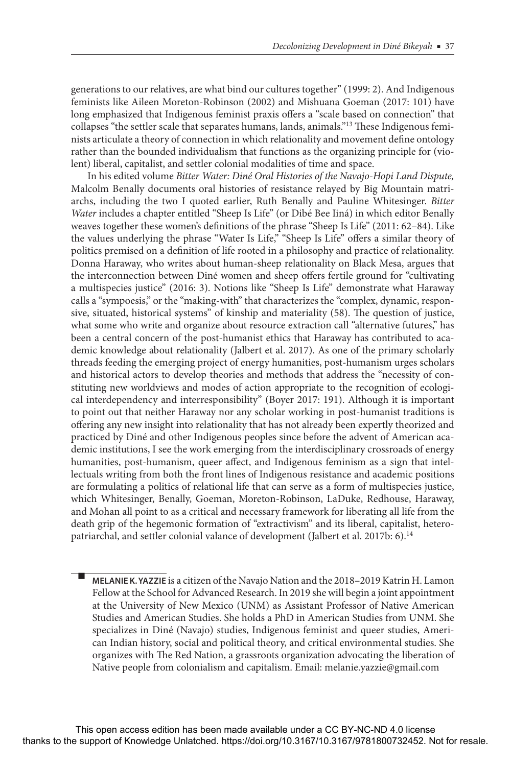generations to our relatives, are what bind our cultures together" (1999: 2). And Indigenous feminists like Aileen Moreton-Robinson (2002) and Mishuana Goeman (2017: 101) have long emphasized that Indigenous feminist praxis offers a "scale based on connection" that collapses "the settler scale that separates humans, lands, animals."13 These Indigenous feminists articulate a theory of connection in which relationality and movement define ontology rather than the bounded individualism that functions as the organizing principle for (violent) liberal, capitalist, and settler colonial modalities of time and space.

 In his edited volume *Bitter Water: Diné Oral Histories of the Navajo-Hopi Land Dispute,*  Malcolm Benally documents oral histories of resistance relayed by Big Mountain matriarchs, including the two I quoted earlier, Ruth Benally and Pauline Whitesinger. *Bitter Water* includes a chapter entitled "Sheep Is Life" (or Dibé Bee Iiná) in which editor Benally weaves together these women's definitions of the phrase "Sheep Is Life" (2011: 62–84). Like the values underlying the phrase "Water Is Life," "Sheep Is Life" offers a similar theory of politics premised on a definition of life rooted in a philosophy and practice of relationality. Donna Haraway, who writes about human-sheep relationality on Black Mesa, argues that the interconnection between Diné women and sheep offers fertile ground for "cultivating a multispecies justice" (2016: 3). Notions like "Sheep Is Life" demonstrate what Haraway calls a "sympoesis," or the "making-with" that characterizes the "complex, dynamic, responsive, situated, historical systems" of kinship and materiality (58). The question of justice, what some who write and organize about resource extraction call "alternative futures," has been a central concern of the post-humanist ethics that Haraway has contributed to academic knowledge about relationality (Jalbert et al. 2017). As one of the primary scholarly threads feeding the emerging project of energy humanities, post-humanism urges scholars and historical actors to develop theories and methods that address the "necessity of constituting new worldviews and modes of action appropriate to the recognition of ecological interdependency and interresponsibility" (Boyer 2017: 191). Although it is important to point out that neither Haraway nor any scholar working in post-humanist traditions is offering any new insight into relationality that has not already been expertly theorized and practiced by Diné and other Indigenous peoples since before the advent of American academic institutions, I see the work emerging from the interdisciplinary crossroads of energy humanities, post-humanism, queer affect, and Indigenous feminism as a sign that intellectuals writing from both the front lines of Indigenous resistance and academic positions are formulating a politics of relational life that can serve as a form of multispecies justice, which Whitesinger, Benally, Goeman, Moreton-Robinson, LaDuke, Redhouse, Haraway, and Mohan all point to as a critical and necessary framework for liberating all life from the death grip of the hegemonic formation of "extractivism" and its liberal, capitalist, heteropatriarchal, and settler colonial valance of development (Jalbert et al. 2017b: 6).<sup>14</sup>

n **MELANIE K. YAZZIE** is a citizen of the Navajo Nation and the 2018–2019 Katrin H. Lamon Fellow at the School for Advanced Research. In 2019 she will begin a joint appointment at the University of New Mexico (UNM) as Assistant Professor of Native American Studies and American Studies. She holds a PhD in American Studies from UNM. She specializes in Diné (Navajo) studies, Indigenous feminist and queer studies, American Indian history, social and political theory, and critical environmental studies. She organizes with The Red Nation, a grassroots organization advocating the liberation of Native people from colonialism and capitalism. Email: melanie.yazzie@gmail.com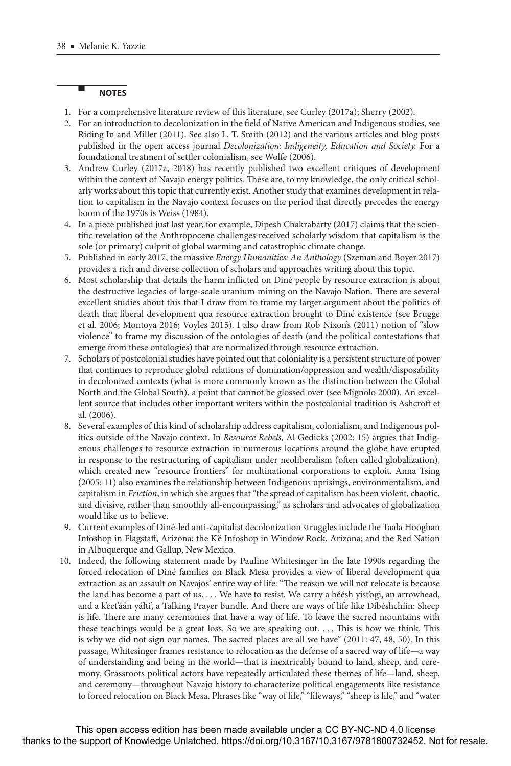#### n **NOTES**

- 1. For a comprehensive literature review of this literature, see Curley (2017a); Sherry (2002).
- 2. For an introduction to decolonization in the field of Native American and Indigenous studies, see Riding In and Miller (2011). See also L. T. Smith (2012) and the various articles and blog posts published in the open access journal *Decolonization: Indigeneity, Education and Society.* For a foundational treatment of settler colonialism, see Wolfe (2006).
- 3. Andrew Curley (2017a, 2018) has recently published two excellent critiques of development within the context of Navajo energy politics. These are, to my knowledge, the only critical scholarly works about this topic that currently exist. Another study that examines development in relation to capitalism in the Navajo context focuses on the period that directly precedes the energy boom of the 1970s is Weiss (1984).
- 4. In a piece published just last year, for example, Dipesh Chakrabarty (2017) claims that the scientific revelation of the Anthropocene challenges received scholarly wisdom that capitalism is the sole (or primary) culprit of global warming and catastrophic climate change.
- 5. Published in early 2017, the massive *Energy Humanities: An Anthology* (Szeman and Boyer 2017) provides a rich and diverse collection of scholars and approaches writing about this topic.
- 6. Most scholarship that details the harm inflicted on Diné people by resource extraction is about the destructive legacies of large-scale uranium mining on the Navajo Nation. There are several excellent studies about this that I draw from to frame my larger argument about the politics of death that liberal development qua resource extraction brought to Diné existence (see Brugge et al. 2006; Montoya 2016; Voyles 2015). I also draw from Rob Nixon's (2011) notion of "slow violence" to frame my discussion of the ontologies of death (and the political contestations that emerge from these ontologies) that are normalized through resource extraction.
- 7. Scholars of postcolonial studies have pointed out that coloniality is a persistent structure of power that continues to reproduce global relations of domination/oppression and wealth/disposability in decolonized contexts (what is more commonly known as the distinction between the Global North and the Global South), a point that cannot be glossed over (see Mignolo 2000). An excellent source that includes other important writers within the postcolonial tradition is Ashcroft et al. (2006).
- 8. Several examples of this kind of scholarship address capitalism, colonialism, and Indigenous politics outside of the Navajo context. In *Resource Rebels,* Al Gedicks (2002: 15) argues that Indigenous challenges to resource extraction in numerous locations around the globe have erupted in response to the restructuring of capitalism under neoliberalism (often called globalization), which created new "resource frontiers" for multinational corporations to exploit. Anna Tsing (2005: 11) also examines the relationship between Indigenous uprisings, environmentalism, and capitalism in *Friction*, in which she argues that "the spread of capitalism has been violent, chaotic, and divisive, rather than smoothly all-encompassing," as scholars and advocates of globalization would like us to believe.
- 9. Current examples of Diné-led anti-capitalist decolonization struggles include the Taala Hooghan Infoshop in Flagstaff, Arizona; the K'é Infoshop in Window Rock, Arizona; and the Red Nation in Albuquerque and Gallup, New Mexico.
- 10. Indeed, the following statement made by Pauline Whitesinger in the late 1990s regarding the forced relocation of Diné families on Black Mesa provides a view of liberal development qua extraction as an assault on Navajos' entire way of life: "The reason we will not relocate is because the land has become a part of us. . . . We have to resist. We carry a béésh yist'ogi, an arrowhead, and a k'eet'áán yáłti', a Talking Prayer bundle. And there are ways of life like Dibéshchíín: Sheep is life. There are many ceremonies that have a way of life. To leave the sacred mountains with these teachings would be a great loss. So we are speaking out. . . . This is how we think. This is why we did not sign our names. The sacred places are all we have" (2011: 47, 48, 50). In this passage, Whitesinger frames resistance to relocation as the defense of a sacred way of life—a way of understanding and being in the world—that is inextricably bound to land, sheep, and ceremony. Grassroots political actors have repeatedly articulated these themes of life—land, sheep, and ceremony—throughout Navajo history to characterize political engagements like resistance to forced relocation on Black Mesa. Phrases like "way of life," "lifeways," "sheep is life," and "water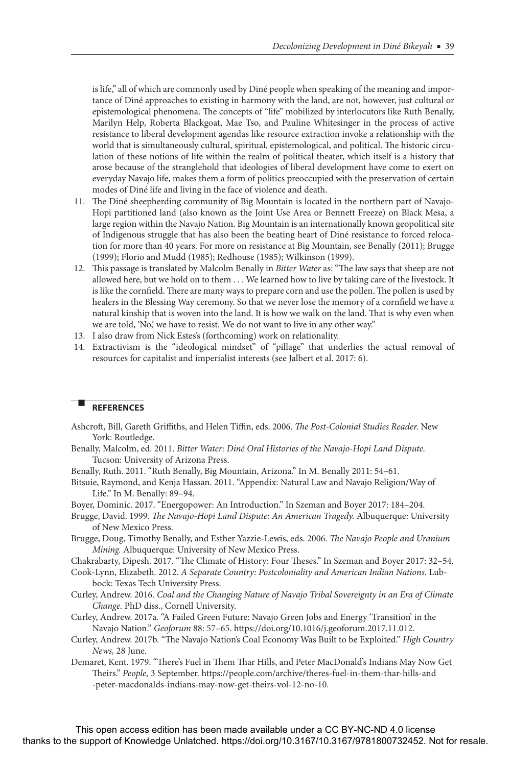is life," all of which are commonly used by Diné people when speaking of the meaning and importance of Diné approaches to existing in harmony with the land, are not, however, just cultural or epistemological phenomena. The concepts of "life" mobilized by interlocutors like Ruth Benally, Marilyn Help, Roberta Blackgoat, Mae Tso, and Pauline Whitesinger in the process of active resistance to liberal development agendas like resource extraction invoke a relationship with the world that is simultaneously cultural, spiritual, epistemological, and political. The historic circulation of these notions of life within the realm of political theater, which itself is a history that arose because of the stranglehold that ideologies of liberal development have come to exert on everyday Navajo life, makes them a form of politics preoccupied with the preservation of certain modes of Diné life and living in the face of violence and death.

- 11. The Diné sheepherding community of Big Mountain is located in the northern part of Navajo-Hopi partitioned land (also known as the Joint Use Area or Bennett Freeze) on Black Mesa, a large region within the Navajo Nation. Big Mountain is an internationally known geopolitical site of Indigenous struggle that has also been the beating heart of Diné resistance to forced relocation for more than 40 years. For more on resistance at Big Mountain, see Benally (2011); Brugge (1999); Florio and Mudd (1985); Redhouse (1985); Wilkinson (1999).
- 12. This passage is translated by Malcolm Benally in *Bitter Water* as: "The law says that sheep are not allowed here, but we hold on to them . . . We learned how to live by taking care of the livestock. It is like the cornfield. There are many ways to prepare corn and use the pollen. The pollen is used by healers in the Blessing Way ceremony. So that we never lose the memory of a cornfield we have a natural kinship that is woven into the land. It is how we walk on the land. That is why even when we are told, 'No,' we have to resist. We do not want to live in any other way."
- 13. I also draw from Nick Estes's (forthcoming) work on relationality.
- 14. Extractivism is the "ideological mindset" of "pillage" that underlies the actual removal of resources for capitalist and imperialist interests (see Jalbert et al. 2017: 6).

### n **REFERENCES**

Ashcroft, Bill, Gareth Griffiths, and Helen Tiffin, eds. 2006. *The Post-Colonial Studies Reader.* New York: Routledge.

Benally, Malcolm, ed. 2011. *Bitter Water: Diné Oral Histories of the Navajo-Hopi Land Dispute.* Tucson: University of Arizona Press.

Benally, Ruth. 2011. "Ruth Benally, Big Mountain, Arizona." In M. Benally 2011: 54–61.

Bitsuie, Raymond, and Kenja Hassan. 2011. "Appendix: Natural Law and Navajo Religion/Way of Life." In M. Benally: 89–94.

Boyer, Dominic. 2017. "Energopower: An Introduction." In Szeman and Boyer 2017: 184–204.

Brugge, David. 1999. *The Navajo-Hopi Land Dispute: An American Tragedy.* Albuquerque: University of New Mexico Press.

Brugge, Doug, Timothy Benally, and Esther Yazzie-Lewis, eds. 2006. *The Navajo People and Uranium Mining.* Albuquerque: University of New Mexico Press.

Chakrabarty, Dipesh. 2017. "The Climate of History: Four Theses." In Szeman and Boyer 2017: 32–54.

Cook-Lynn, Elizabeth. 2012. *A Separate Country: Postcoloniality and American Indian Nations.* Lubbock: Texas Tech University Press.

Curley, Andrew. 2016. *Coal and the Changing Nature of Navajo Tribal Sovereignty in an Era of Climate Change.* PhD diss., Cornell University.

Curley, Andrew. 2017a. "A Failed Green Future: Navajo Green Jobs and Energy 'Transition' in the Navajo Nation." *Geoforum* 88: 57–65. https://doi.org/10.1016/j.geoforum.2017.11.012.

- Curley, Andrew. 2017b. "The Navajo Nation's Coal Economy Was Built to be Exploited." *High Country News,* 28 June.
- Demaret, Kent. 1979. "There's Fuel in Them Thar Hills, and Peter MacDonald's Indians May Now Get Theirs." *People,* 3 September. https://people.com/archive/theres-fuel-in-them-thar-hills-and -peter-macdonalds-indians-may-now-get-theirs-vol-12-no-10.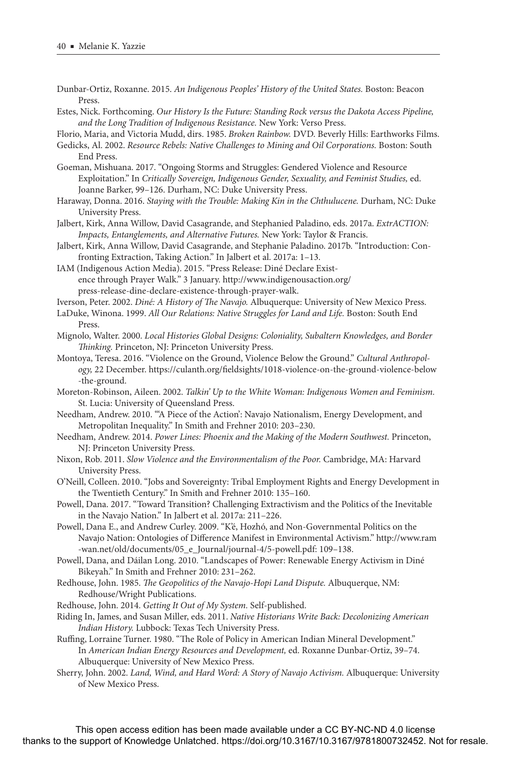Dunbar-Ortiz, Roxanne. 2015. *An Indigenous Peoples' History of the United States.* Boston: Beacon Press.

Estes, Nick. Forthcoming. *Our History Is the Future: Standing Rock versus the Dakota Access Pipeline, and the Long Tradition of Indigenous Resistance.* New York: Verso Press.

Florio, Maria, and Victoria Mudd, dirs. 1985. *Broken Rainbow.* DVD. Beverly Hills: Earthworks Films.

Gedicks, Al. 2002. *Resource Rebels: Native Challenges to Mining and Oil Corporations.* Boston: South End Press.

Goeman, Mishuana. 2017. "Ongoing Storms and Struggles: Gendered Violence and Resource Exploitation." In *Critically Sovereign, Indigenous Gender, Sexuality, and Feminist Studies,* ed. Joanne Barker, 99–126. Durham, NC: Duke University Press.

Haraway, Donna. 2016. *Staying with the Trouble: Making Kin in the Chthulucene.* Durham, NC: Duke University Press.

Jalbert, Kirk, Anna Willow, David Casagrande, and Stephanied Paladino, eds. 2017a. *ExtrACTION: Impacts, Entanglements, and Alternative Futures.* New York: Taylor & Francis.

Jalbert, Kirk, Anna Willow, David Casagrande, and Stephanie Paladino. 2017b. "Introduction: Confronting Extraction, Taking Action." In Jalbert et al. 2017a: 1–13.

IAM (Indigenous Action Media). 2015. "Press Release: Diné Declare Existence through Prayer Walk." 3 January. http://www.indigenousaction.org/ press-release-dine-declare-existence-through-prayer-walk.

Iverson, Peter. 2002. *Diné: A History of The Navajo.* Albuquerque: University of New Mexico Press.

- LaDuke, Winona. 1999. *All Our Relations: Native Struggles for Land and Life.* Boston: South End Press.
- Mignolo, Walter. 2000. *Local Histories Global Designs: Coloniality, Subaltern Knowledges, and Border Thinking.* Princeton, NJ: Princeton University Press.
- Montoya, Teresa. 2016. "Violence on the Ground, Violence Below the Ground." *Cultural Anthropology,* 22 December. https://culanth.org/fieldsights/1018-violence-on-the-ground-violence-below -the-ground.

Moreton-Robinson, Aileen. 2002. *Talkin' Up to the White Woman: Indigenous Women and Feminism.* St. Lucia: University of Queensland Press.

- Needham, Andrew. 2010. "'A Piece of the Action': Navajo Nationalism, Energy Development, and Metropolitan Inequality." In Smith and Frehner 2010: 203–230.
- Needham, Andrew. 2014. *Power Lines: Phoenix and the Making of the Modern Southwest.* Princeton, NJ: Princeton University Press.
- Nixon, Rob. 2011. *Slow Violence and the Environmentalism of the Poor.* Cambridge, MA: Harvard University Press.

O'Neill, Colleen. 2010. "Jobs and Sovereignty: Tribal Employment Rights and Energy Development in the Twentieth Century." In Smith and Frehner 2010: 135–160.

Powell, Dana. 2017. "Toward Transition? Challenging Extractivism and the Politics of the Inevitable in the Navajo Nation." In Jalbert et al. 2017a: 211–226.

Powell, Dana E., and Andrew Curley. 2009. "K'é, Hozhó, and Non-Governmental Politics on the Navajo Nation: Ontologies of Difference Manifest in Environmental Activism." http://www.ram -wan.net/old/documents/05\_e\_Journal/journal-4/5-powell.pdf: 109–138.

Powell, Dana, and Dáilan Long. 2010. "Landscapes of Power: Renewable Energy Activism in Diné Bikeyah." In Smith and Frehner 2010: 231–262.

Redhouse, John. 1985. *The Geopolitics of the Navajo-Hopi Land Dispute.* Albuquerque, NM: Redhouse/Wright Publications.

Redhouse, John. 2014. *Getting It Out of My System.* Self-published.

Riding In, James, and Susan Miller, eds. 2011. *Native Historians Write Back: Decolonizing American Indian History.* Lubbock: Texas Tech University Press.

Ruffing, Lorraine Turner. 1980. "The Role of Policy in American Indian Mineral Development." In *American Indian Energy Resources and Development,* ed. Roxanne Dunbar-Ortiz, 39–74. Albuquerque: University of New Mexico Press.

Sherry, John. 2002. *Land, Wind, and Hard Word: A Story of Navajo Activism.* Albuquerque: University of New Mexico Press.